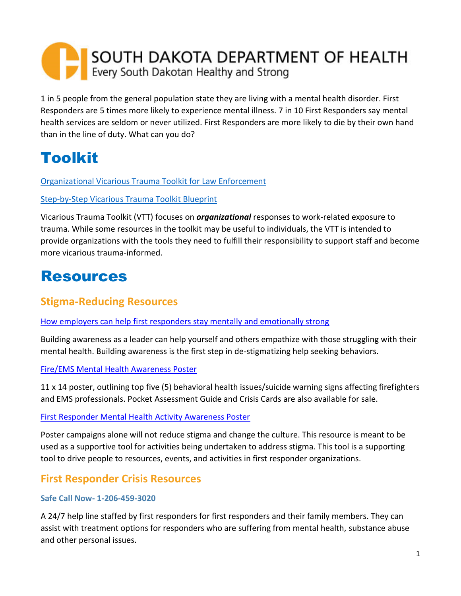# SOUTH DAKOTA DEPARTMENT OF HEALTH Every South Dakotan Healthy and Strong

1 in 5 people from the general population state they are living with a mental health disorder. First Responders are 5 times more likely to experience mental illness. 7 in 10 First Responders say mental health services are seldom or never utilized. First Responders are more likely to die by their own hand than in the line of duty. What can you do?

## Toolkit

[Organizational Vicarious Trauma Toolkit for Law Enforcement](https://ovc.ojp.gov/program/vtt/tools-law-enforcement)

#### [Step-by-Step Vicarious Trauma Toolkit Blueprint](https://ovc.ojp.gov/program/vtt/blueprint-for-a-vicarious-trauma-informed-organization)

Vicarious Trauma Toolkit (VTT) focuses on *organizational* responses to work-related exposure to trauma. While some resources in the toolkit may be useful to individuals, the VTT is intended to provide organizations with the tools they need to fulfill their responsibility to support staff and become more vicarious trauma-informed.

## Resources

### **Stigma-Reducing Resources**

[How employers can help first responders stay mentally and emotionally strong](https://business.kaiserpermanente.org/insights/mental-health-workplace/first-responder-support#:~:text=85%25%20of%20first%20responders%20have,related%20to%20mental%20health%20conditions.&text=Depression%20and%20PTSD%20are%20up,more%20common%20in%20first%20responders.)

Building awareness as a leader can help yourself and others empathize with those struggling with their mental health. Building awareness is the first step in de-stigmatizing help seeking behaviors.

#### Fire/EMS [Mental Health Awareness Poster](https://www.ffbha.org/product/awareness-poster/)

11 x 14 poster, outlining top five (5) behavioral health issues/suicide warning signs affecting firefighters and EMS professionals. Pocket Assessment Guide and Crisis Cards are also available for sale.

#### [First Responder Mental Health Activity Awareness Poster](https://bcfirstrespondersmentalhealth.com/resources/)

Poster campaigns alone will not reduce stigma and change the culture. This resource is meant to be used as a supportive tool for activities being undertaken to address stigma. This tool is a supporting tool to drive people to resources, events, and activities in first responder organizations.

## **First Responder Crisis Resources**

#### **Safe Call Now- 1-206-459-3020**

A 24/7 help line staffed by first responders for first responders and their family members. They can assist with treatment options for responders who are suffering from mental health, substance abuse and other personal issues.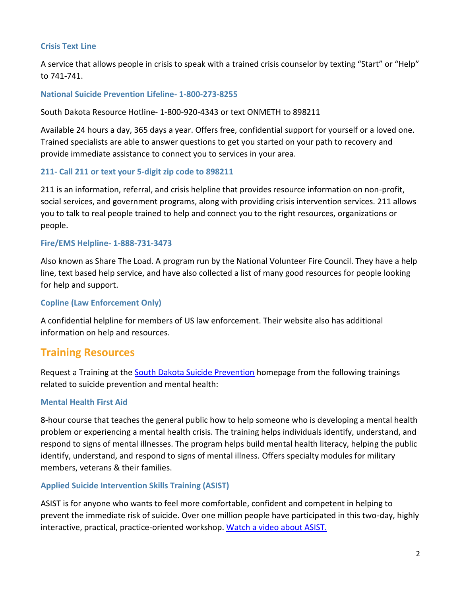#### **Crisis Text Line**

A service that allows people in crisis to speak with a trained crisis counselor by texting "Start" or "Help" to 741-741.

#### **National Suicide Prevention Lifeline- 1-800-273-8255**

South Dakota Resource Hotline- 1-800-920-4343 or text ONMETH to 898211

Available 24 hours a day, 365 days a year. Offers free, confidential support for yourself or a loved one. Trained specialists are able to answer questions to get you started on your path to recovery and provide immediate assistance to connect you to services in your area.

#### **211- Call 211 or text your 5-digit zip code to 898211**

211 is an information, referral, and crisis helpline that provides resource information on non-profit, social services, and government programs, along with providing crisis intervention services. 211 allows you to talk to real people trained to help and connect you to the right resources, organizations or people.

#### **Fire/EMS Helpline- 1-888-731-3473**

Also known as Share The Load. A program run by the National Volunteer Fire Council. They have a help line, text based help service, and have also collected a list of many good resources for people looking for help and support.

#### **Copline (Law Enforcement Only)**

A confidential helpline for members of US law enforcement. Their website also has additional information on help and resources.

### **Training Resources**

Request a Training at the **South Dakota Suicide Prevention** homepage from the following trainings related to suicide prevention and mental health:

#### **Mental Health First Aid**

8-hour course that teaches the general public how to help someone who is developing a mental health problem or experiencing a mental health crisis. The training helps individuals identify, understand, and respond to signs of mental illnesses. The program helps build mental health literacy, helping the public identify, understand, and respond to signs of mental illness. Offers specialty modules for military members, veterans & their families.

#### **Applied Suicide Intervention Skills Training (ASIST)**

ASIST is for anyone who wants to feel more comfortable, confident and competent in helping to prevent the immediate risk of suicide. Over one million people have participated in this two-day, highly interactive, practical, practice-oriented workshop. [Watch a video about ASIST.](http://www.livingworks.net/)